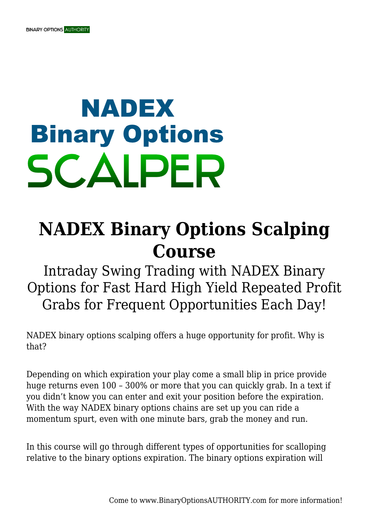## **NADEX Binary Options SCALPER**

## **NADEX Binary Options Scalping Course**

Intraday Swing Trading with NADEX Binary Options for Fast Hard High Yield Repeated Profit Grabs for Frequent Opportunities Each Day!

NADEX binary options scalping offers a huge opportunity for profit. Why is that?

Depending on which expiration your play come a small blip in price provide huge returns even 100 – 300% or more that you can quickly grab. In a text if you didn't know you can enter and exit your position before the expiration. With the way NADEX binary options chains are set up you can ride a momentum spurt, even with one minute bars, grab the money and run.

In this course will go through different types of opportunities for scalloping relative to the binary options expiration. The binary options expiration will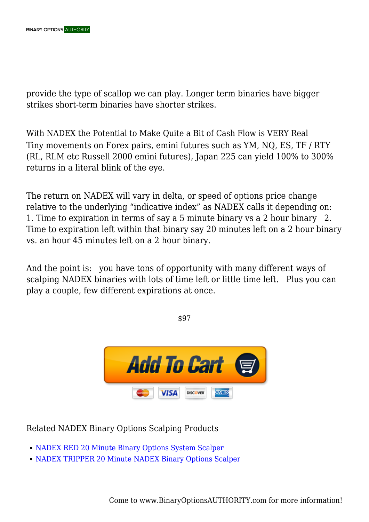provide the type of scallop we can play. Longer term binaries have bigger strikes short-term binaries have shorter strikes.

With NADEX the Potential to Make Quite a Bit of Cash Flow is VERY Real Tiny movements on Forex pairs, emini futures such as YM, NQ, ES, TF / RTY (RL, RLM etc Russell 2000 emini futures), Japan 225 can yield 100% to 300% returns in a literal blink of the eye.

The return on NADEX will vary in delta, or speed of options price change relative to the underlying "indicative index" as NADEX calls it depending on: 1. Time to expiration in terms of say a 5 minute binary vs a 2 hour binary 2. Time to expiration left within that binary say 20 minutes left on a 2 hour binary vs. an hour 45 minutes left on a 2 hour binary.

And the point is: you have tons of opportunity with many different ways of scalping NADEX binaries with lots of time left or little time left. Plus you can play a couple, few different expirations at once.

\$97



Related NADEX Binary Options Scalping Products

- [NADEX RED 20 Minute Binary Options System Scalper](https://binaryoptionsauthority.com/nadex-red-20-minute-binary-options-system-scalper/)
- [NADEX TRIPPER 20 Minute NADEX Binary Options Scalper](https://binaryoptionsauthority.com/nadex-tripper-20-minute-nadex-binary-options-scalper/)